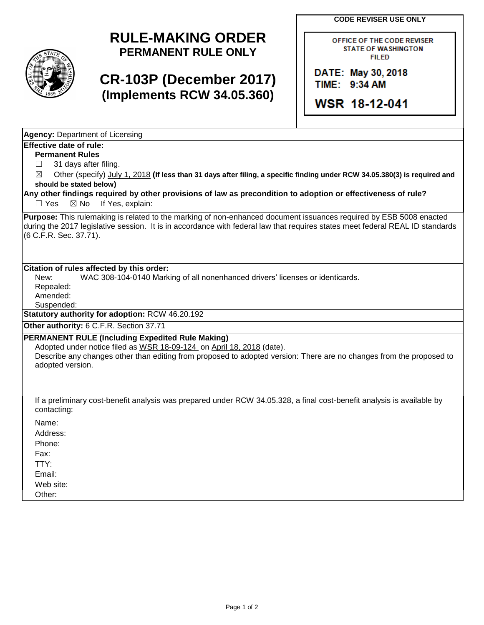**CODE REVISER USE ONLY**

## **RULE-MAKING ORDER PERMANENT RULE ONLY**

# **CR-103P (December 2017) (Implements RCW 34.05.360)**

OFFICE OF THE CODE REVISER **STATE OF WASHINGTON FILED** 

DATE: May 30, 2018 TIME: 9:34 AM

WSR 18-12-041

**Agency:** Department of Licensing

## **Effective date of rule:**

**Permanent Rules**

 $\Box$  31 days after filing.

☒ Other (specify) July 1, 2018 **(If less than 31 days after filing, a specific finding under RCW 34.05.380(3) is required and should be stated below)**

**Any other findings required by other provisions of law as precondition to adoption or effectiveness of rule?** □ Yes ⊠ No If Yes, explain:

**Purpose:** This rulemaking is related to the marking of non-enhanced document issuances required by ESB 5008 enacted during the 2017 legislative session. It is in accordance with federal law that requires states meet federal REAL ID standards (6 C.F.R. Sec. 37.71).

### **Citation of rules affected by this order:**

New: WAC 308-104-0140 Marking of all nonenhanced drivers' licenses or identicards.

Repealed:

Amended:

Suspended:

**Statutory authority for adoption:** RCW 46.20.192

**Other authority:** 6 C.F.R. Section 37.71

### **PERMANENT RULE (Including Expedited Rule Making)**

Adopted under notice filed as WSR 18-09-124 on April 18, 2018 (date). Describe any changes other than editing from proposed to adopted version: There are no changes from the proposed to adopted version.

If a preliminary cost-benefit analysis was prepared under RCW 34.05.328, a final cost-benefit analysis is available by contacting:

Name:

Address:

Phone:

Fax:

TTY: Email:

Web site:

Other: